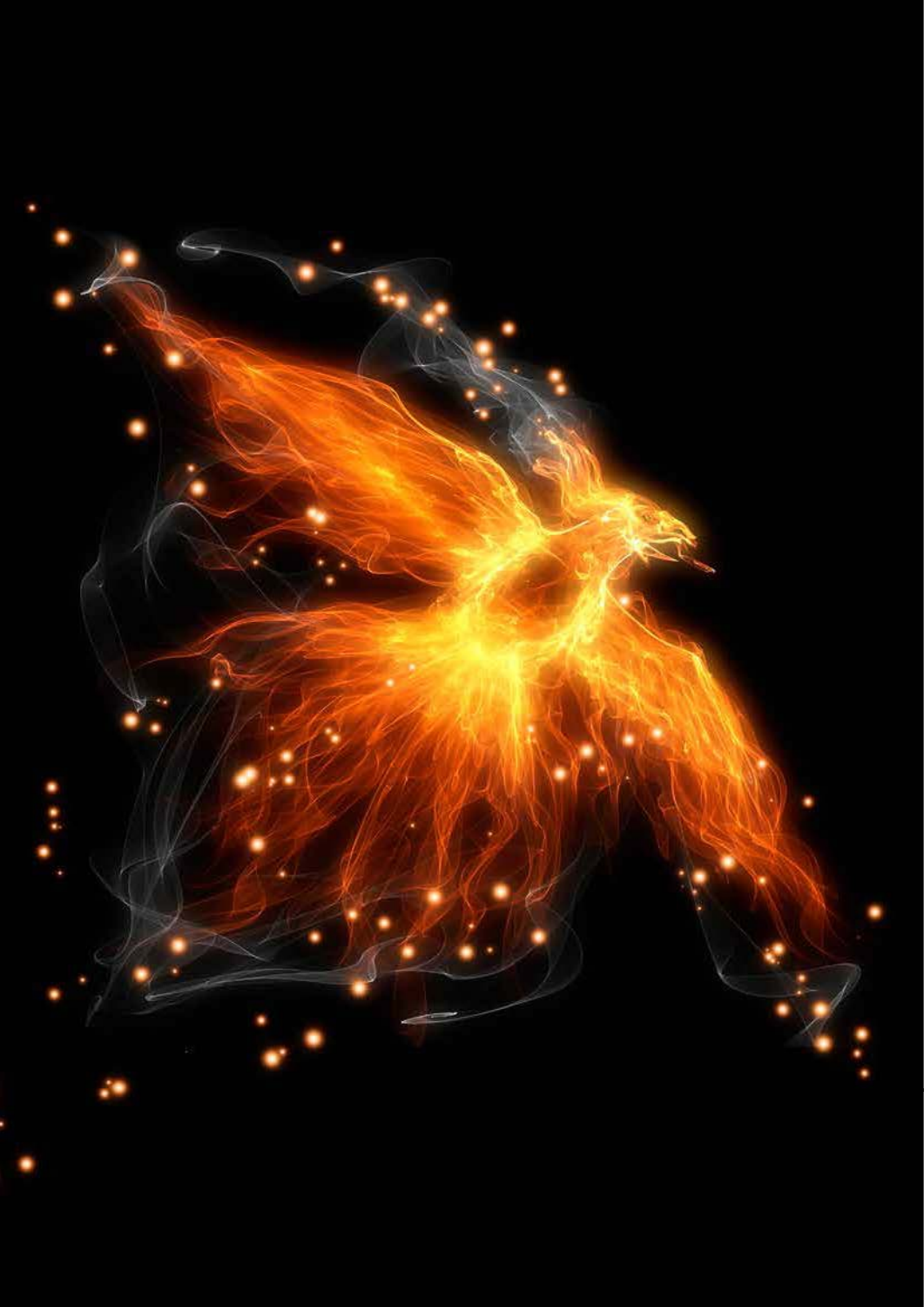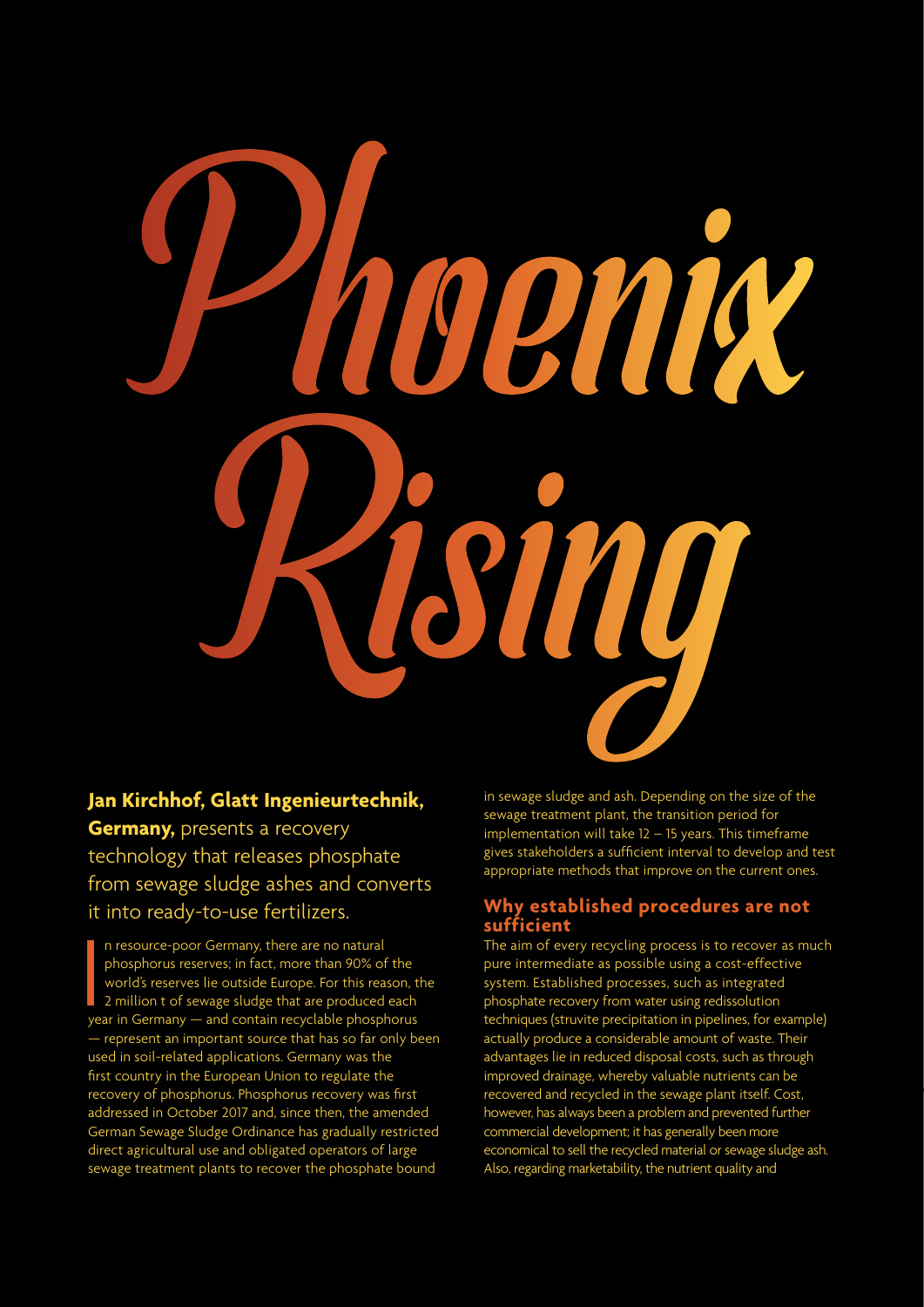

# **Jan Kirchhof, Glatt Ingenieurtechnik, Germany,** presents a recovery technology that releases phosphate from sewage sludge ashes and converts

it into ready-to-use fertilizers.

In resource-poor Germany, there are no natural<br>phosphorus reserves; in fact, more than 90% of the<br>world's reserves lie outside Europe. For this reason, t<br>2 million t of sewage sludge that are produced each<br>year in Germany n resource-poor Germany, there are no natural phosphorus reserves; in fact, more than 90% of the world's reserves lie outside Europe. For this reason, the 2 million t of sewage sludge that are produced each — represent an important source that has so far only been used in soil-related applications. Germany was the first country in the European Union to regulate the recovery of phosphorus. Phosphorus recovery was first addressed in October 2017 and, since then, the amended German Sewage Sludge Ordinance has gradually restricted direct agricultural use and obligated operators of large sewage treatment plants to recover the phosphate bound

in sewage sludge and ash. Depending on the size of the sewage treatment plant, the transition period for implementation will take 12 – 15 years. This timeframe gives stakeholders a sufficient interval to develop and test appropriate methods that improve on the current ones.

### **Why established procedures are not sufficient**

The aim of every recycling process is to recover as much pure intermediate as possible using a cost-effective system. Established processes, such as integrated phosphate recovery from water using redissolution techniques (struvite precipitation in pipelines, for example) actually produce a considerable amount of waste. Their advantages lie in reduced disposal costs, such as through improved drainage, whereby valuable nutrients can be recovered and recycled in the sewage plant itself. Cost, however, has always been a problem and prevented further commercial development; it has generally been more economical to sell the recycled material or sewage sludge ash. Also, regarding marketability, the nutrient quality and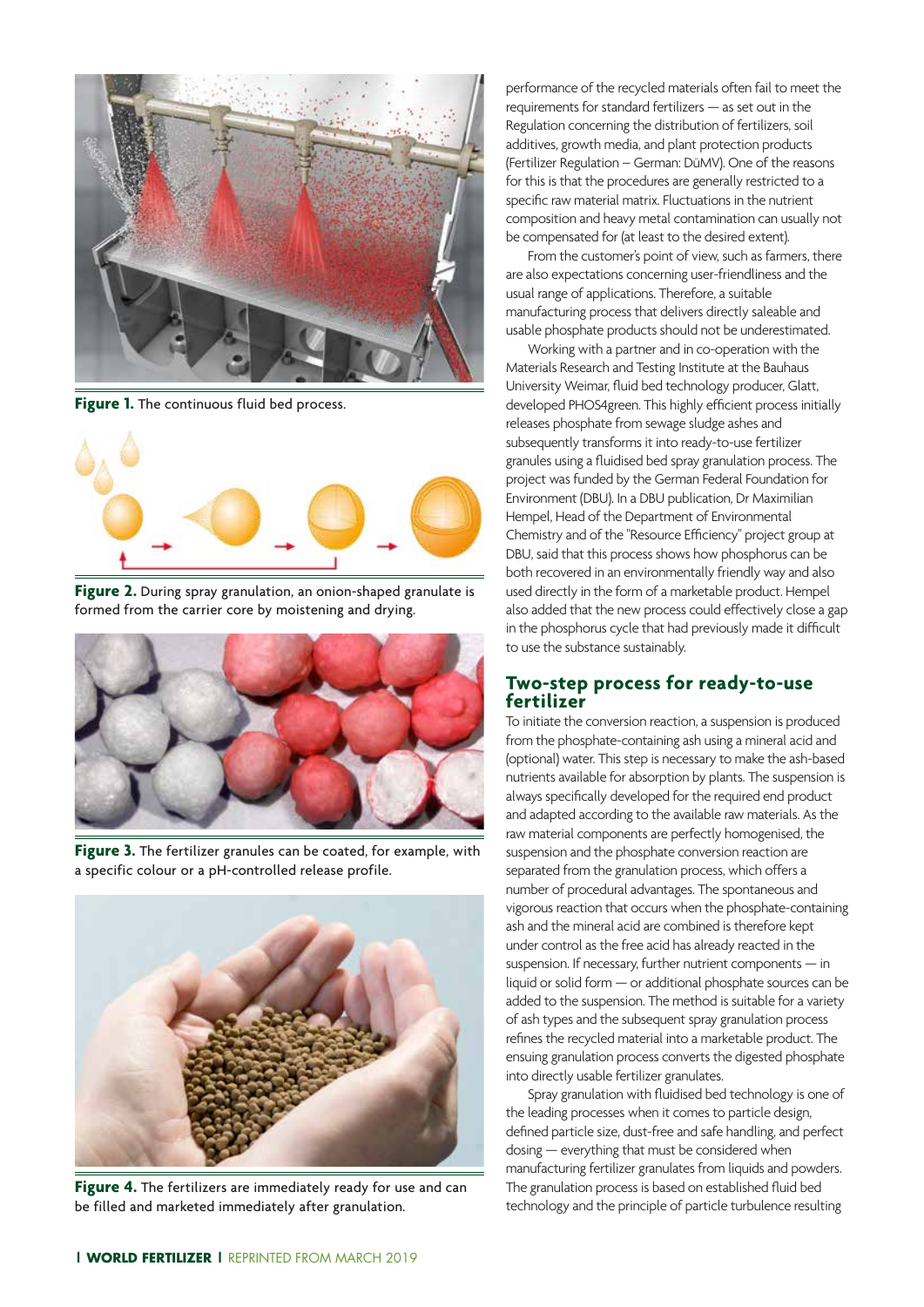

**Figure 1.** The continuous fluid bed process.



**Figure 2.** During spray granulation, an onion-shaped granulate is formed from the carrier core by moistening and drying.



**Figure 3.** The fertilizer granules can be coated, for example, with a specific colour or a pH-controlled release profile.



**Figure 4.** The fertilizers are immediately ready for use and can be filled and marketed immediately after granulation.

performance of the recycled materials often fail to meet the requirements for standard fertilizers — as set out in the Regulation concerning the distribution of fertilizers, soil additives, growth media, and plant protection products (Fertilizer Regulation – German: DüMV). One of the reasons for this is that the procedures are generally restricted to a specific raw material matrix. Fluctuations in the nutrient composition and heavy metal contamination can usually not be compensated for (at least to the desired extent).

From the customer's point of view, such as farmers, there are also expectations concerning user-friendliness and the usual range of applications. Therefore, a suitable manufacturing process that delivers directly saleable and usable phosphate products should not be underestimated.

Working with a partner and in co-operation with the Materials Research and Testing Institute at the Bauhaus University Weimar, fluid bed technology producer, Glatt, developed PHOS4green. This highly efficient process initially releases phosphate from sewage sludge ashes and subsequently transforms it into ready-to-use fertilizer granules using a fluidised bed spray granulation process. The project was funded by the German Federal Foundation for Environment (DBU). In a DBU publication, Dr Maximilian Hempel, Head of the Department of Environmental Chemistry and of the "Resource Efficiency" project group at DBU, said that this process shows how phosphorus can be both recovered in an environmentally friendly way and also used directly in the form of a marketable product. Hempel also added that the new process could effectively close a gap in the phosphorus cycle that had previously made it difficult to use the substance sustainably.

#### **Two-step process for ready-to-use fertilizer**

To initiate the conversion reaction, a suspension is produced from the phosphate-containing ash using a mineral acid and (optional) water. This step is necessary to make the ash-based nutrients available for absorption by plants. The suspension is always specifically developed for the required end product and adapted according to the available raw materials. As the raw material components are perfectly homogenised, the suspension and the phosphate conversion reaction are separated from the granulation process, which offers a number of procedural advantages. The spontaneous and vigorous reaction that occurs when the phosphate-containing ash and the mineral acid are combined is therefore kept under control as the free acid has already reacted in the suspension. If necessary, further nutrient components — in liquid or solid form — or additional phosphate sources can be added to the suspension. The method is suitable for a variety of ash types and the subsequent spray granulation process refines the recycled material into a marketable product. The ensuing granulation process converts the digested phosphate into directly usable fertilizer granulates.

Spray granulation with fluidised bed technology is one of the leading processes when it comes to particle design, defined particle size, dust-free and safe handling, and perfect dosing — everything that must be considered when manufacturing fertilizer granulates from liquids and powders. The granulation process is based on established fluid bed technology and the principle of particle turbulence resulting